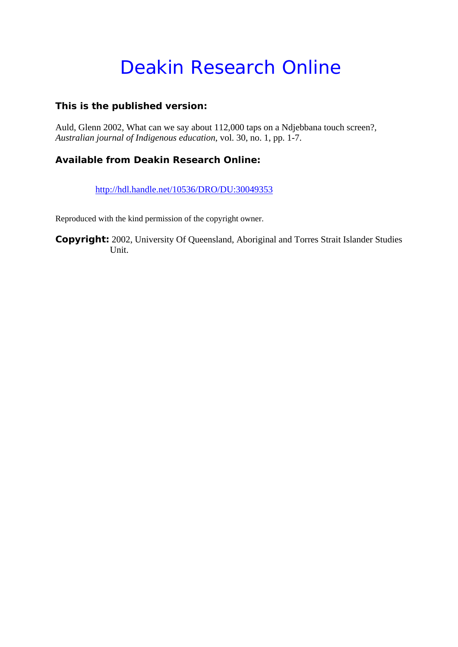# Deakin Research Online

# **This is the published version:**

Auld, Glenn 2002, What can we say about 112,000 taps on a Ndjebbana touch screen?*, Australian journal of Indigenous education*, vol. 30, no. 1, pp. 1-7.

# **Available from Deakin Research Online:**

http://hdl.handle.net/10536/DRO/DU:30049353

Reproduced with the kind permission of the copyright owner.

**Copyright:** 2002, University Of Queensland, Aboriginal and Torres Strait Islander Studies Unit.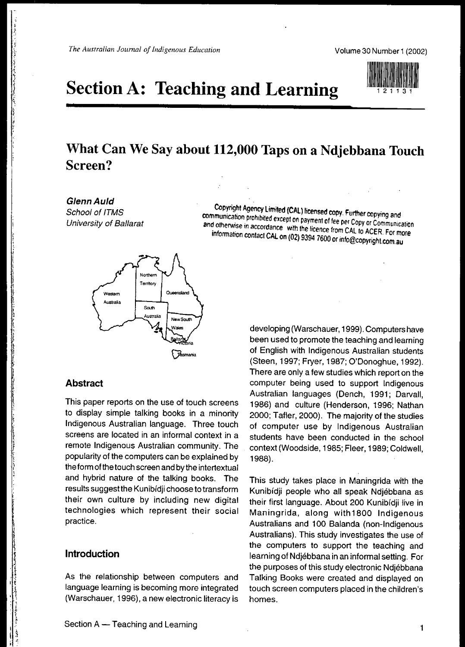# **Section A: Teaching and Learning**

# **What Can We Say about 112,000 Taps on a Ndjebbana Touch Screen?**

**GlennAuld** School of ITMS University of Ballarat

.<br>.<br>.<br>. \

~: .,"

, ,I t li<br>linguage "

Copyright Agency Limited (CAL) licensed copy. Further copying and communication prohibited except on payment of fee per Copy or Communication and otherwise in accordance with the licence from CAL to ACER. For more information contact CAL on (02) 9394 7600 or info@copyright.com.au



### **Abstract**

This paper reports on the use of touch screens to display simple talking books in a minority Indigenous Australian language. Three touch screens are located in an informal context in a remote Indigenous Australian community. The popularity of the computers can be explained by the form of the touch screen and by the intertextual and hybrid nature of the talking books. The results suggest the Kunibidji choose to transform their own culture by including new digital technologies which represent their social practice.

# **Introduction**

As the relationship between computers and language learning is becoming more integrated (Warschauer, 1996), a new electronic literacy is

developing (Warschauer, 1999). Computers have been used to promote the teaching and learning of English with Indigenous Australian students (Steen, 1997; Fryer, 1987; O'Donoghue, 1992). There are only a few studies which report on the computer being used to support Indigenous Australian languages (Dench, 1991; Darvall, 1986) and culture (Henderson, 1996; Nathan 2000; Tafler, 2000). The majority of the studies of computer use by Indigenous Australian students have been conducted in the school context (Woodside, 1985; Fleer, 1989; Coldwell, 1988).

This study takes place in Maningrida with the Kunibídji people who all speak Ndjébbana as their first language. About 200 Kunibidii live in Maningrida, along with1800 Indigenous Australians and 100 Balanda (non-Indigenous Australians). This study investigates the use of the computers to support the teaching and learning of Ndjebbana in an informal setting. For the purposes of this study electronic Ndjebbana Talking Books were created and displayed on touch screen computers placed in the children's homes.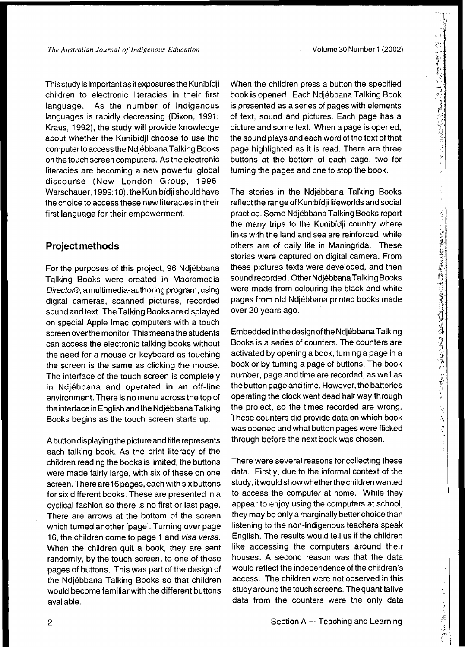Volume 30 Number 1 (2002)

Thisstudy isimportantas itexposuresthe Kunibfdji children to electronic literacies in their first language. As the number of Indigenous languages is rapidly decreasing (Dixon, 1991; Kraus, 1992), the study will provide knowledge about whether the Kunibidji choose to use the computerto access the NdjebbanaTalking Books onthe touch screen computers. As the electronic literacies are becoming a new powerful global discourse (New London Group, 1996; Warschauer, 1999:10), the Kunibidji should have the choice to access these new literacies in their first language for their empowerment.

# **Project methods**

For the purposes of this project, 96 Ndjebbana Talking Books were created in Macromedia Director®, amultimedia-authoring program, using digital cameras, scanned pictures, recorded sound and text. The Talking Books are displayed on special Apple Imac computers with a touch screen overthe monitor. This means the students can access the electronic talking books without the need for a mouse or keyboard as touching the screen is the same as clicking the mouse. The interface of the touch screen is completely in Ndjebbana and operated in an off-line environment. There is no menu across the top of the interface inEnglish and the NdjebbanaTalking Books begins as the touch screen starts up.

Abutton displaying the picture and title represents each talking book. As the print literacy of the children reading the books is limited, the buttons were made fairly large, with six of these on one screen. There are16 pages, each with six buttons for six different books. These are presented in a cyclical fashion so there is no first or last page. There are arrows at the bottom of the screen which turned another 'page'. Turning over page 16, the children come to page 1 and visa versa. When the children quit a book, they are sent randomly, by the touch screen, to one of these pages of buttons. This was part of the design of the Ndlebbana Talking Books so that children would become familiar with the different buttons available.

When the children press a button the specified book is opened. Each Ndjebbana Talking Book is presented as a series of pages with elements of text, sound and pictures. Each page has a picture and some text. When a page is opened, the sound plays and each word of the text of that page highlighted as it is read. There are three buttons at the bottom of each page, two tor tuming the pages and one to stop the book.

The stories in the Ndjebbana Talking Books reflect the range of Kunibidji lifeworlds and social practice. Some Ndjebbana Talking Books report the many trips to the Kunibidji country where links with the land and sea are reinforced, while others are of daily life in Maningrida. These stories were captured on digital camera. From these pictures texts were developed, and then sound recorded. Other Ndjébbana Talking Books were made from colouring the black and white pages from old Ndjebbana printed books made over 20 years ago.

Embedded inthe designofthe NdjebbanaTalking Books is a series of counters. The counters are activated by opening a book, turning a page in a book or by turning a page of buttons. The book number, page and time are recorded, as well as the button page and time. However, the batteries operating the clock went dead half way through the project, so the times recorded are wrong. These counters did provide data on which book was opened and what button pages were flicked through before the next book was chosen.

There were several reasons for collecting these data. Firstly, due to the informal context of the study, it would show whetherthe children wanted to access the computer at home. While they appear to enjoy using the computers at school, they may be only a marginally better choice than listening to the non-Indigenous teachers speak English. The results would tell us if the children like accessing the computers around their houses. A second reason was that the data would reflect the independence of the children's access. The children were not observed in this study around the touch screens. The quantitative data from the counters were the only data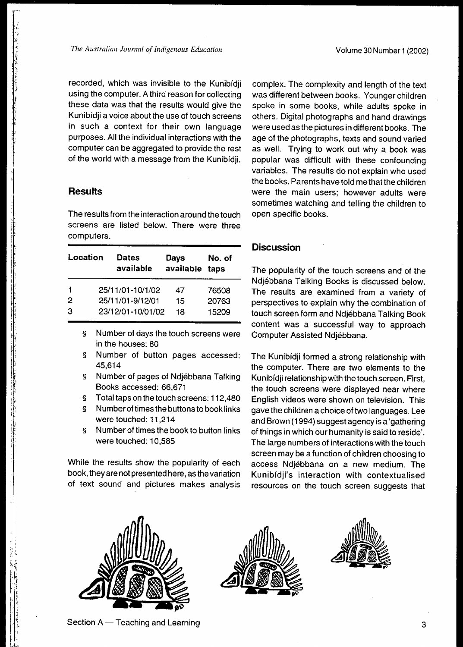recorded, which was invisible to the Kunibidji using the computer. A third reason for collecting these data was that the results would give the Kunibfdji a voice about the use of touch screens in such a context for their own language purposes. All the individual interactions with the computer can be aggregated to provide the rest of the world with a message from the Kunibidji.

#### **Results**

I,

i' ,. !

f l'I: The results from the interaction around the touch screens are listed below. There were three computers.

| Location | <b>Dates</b><br>available | Days<br>available | No. of<br>taps |
|----------|---------------------------|-------------------|----------------|
| 1        | 25/11/01-10/1/02          | 47                | 76508          |
| 2        | 25/11/01-9/12/01          | 15                | 20763          |
| 3        | 23/12/01-10/01/02         | 18                | 15209          |

- § Number of days the touch screens were in the houses: 80
- § Number of button pages accessed: 45,614
- § Number of pages of Ndjebbana Talking Books accessed: 66,671
- § Total taps on the touch screens: 112,480
- § Numberof times the buttons to book links were touched: 11,214
- § Number of times the book to button links were touched: 10,585

While the results show the popularity of each book, they are not presented here, as the variation of text sound and pictures makes analysis complex. The complexity and length of the text was different between books. Younger children spoke in some books, while adults spoke in others. Digital photographs and hand drawings were used as the pictures in different books. The age of the photographs, texts and sound varied as well. Trying to work out Why a book was popular was difficult with these confounding variables. The results do not explain who used the books. Parents havetold me that the children were the main users; however adults were sometimes watching and telling the children to open specific books.

### **Discussion**

The popularity of the touch screens and of the Ndjebbana Talking Books is discussed below. The results are examined from a variety of perspectives to explain Why the combination of touch screen form and Ndjebbana Talking Book content was a successful way to approach Computer Assisted Ndjebbana.

The Kunibidji formed a strong relationship with the computer. There are two elements to the Kunibidji relationship with the touch screen. First, the touch screens were displayed near where English videos were shown on television. This gave the children achoice of two languages. Lee and Brown(1994) suggest agency is a 'gathering of things in which our humanity is said to reside'. The large numbers of interactions with the touch screen may be a function of children choosing to access Ndjebbana on a new medium. The Kunibfdji's interaction with contextualised resources on the touch screen suggests that







Section A - Teaching and Learning 3 and  $\frac{1}{3}$  and  $\frac{1}{3}$  and  $\frac{1}{3}$  and  $\frac{1}{3}$  and  $\frac{1}{3}$  and  $\frac{1}{3}$  and  $\frac{1}{3}$  and  $\frac{1}{3}$  and  $\frac{1}{3}$  and  $\frac{1}{3}$  and  $\frac{1}{3}$  and  $\frac{1}{3}$  and  $\frac{1}{3}$  and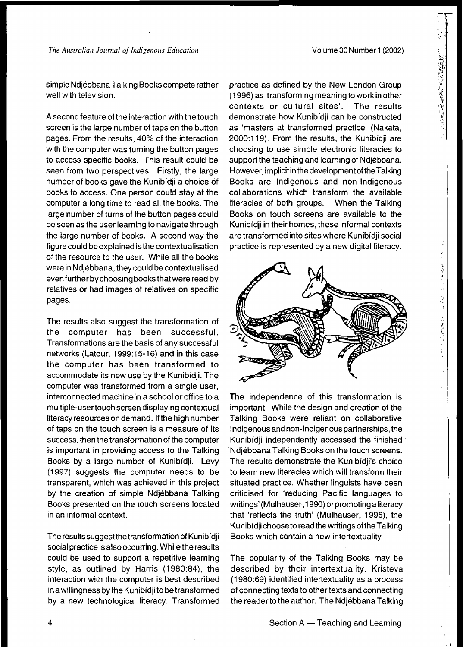「大学は時代を入りまするのです。

法贷单位 医二氯苯甲 医后居老鼠

simple Ndjébbana Talking Books compete rather well with television.

A second feature of the interaction with the touch screen is the large number of taps on the button pages. From the results, 40% of the interaction with the computer was turning the button pages to access specific books. This result could be seen from two perspectives. Firstly, the large number of books gave the Kunibidji a choice of books to access. One person could stay at the computer a long time to read all the books. The large number of turns of the button pages could be seen as the user learning to navigate through the large number of books. A second way the figure could be explained isthe contextualisation of the resource to the user. While all the books were in Ndjébbana, they could be contextualised evenfurtherbychoosingbooksthatwere read by relatives or had images of relatives on specific pages.

The results also suggest the transformation of the computer has been successful. Transformations are the basis of any successful networks (Latour, 1999:15-16) and in this case the computer has been transformed to accommodate its new use by the Kunibidji. The computer was transformed from a single user, interconnected machine in a school or office to a multiple-usertouch screen displaying contextual literacy resources on demand. If the high number of taps on the touch screen is a measure of its success, then the transformation of the computer is important in providing access to the Talking Books by a large number of Kunibídji. Levy (1997) suggests the computer needs to be transparent, which was achieved in this project by the creation of simple Ndjébbana Talking Books presented on the touch screens located in an informal context.

The results suggest the transformation of Kunibidji social practice is also occurring. While the results could be used to support a repetitive learning style, as outlined by Harris (1980:84), the interaction with the computer is best described inawillingness by the Kunibfdjito be transformed by a new technological literacy. Transformed practice as defined by the New London Group (1996) as 'transforming meaning to work inother contexts or cultural sites'. The results demonstrate how Kunibfdji can be constructed as 'masters at transformed practice' (Nakata, 2000:119). From the results, the Kunibfdji are choosing to use simple electronic literacies to support the teaching and learning of Ndjebbana. However, implicit in the development of the Talking Books are Indigenous and non-Indigenous collaborations which transform the available literacies of both groups. When the Talking Books on touch screens are available to the Kunibfdji in their homes, these informal contexts are transformed into sites where Kunibfdji social practice is represented by a new digital literacy.



The independence of this transformation is important. While the design and creation of the Talking Books were reliant on collaborative Indigenous and non-Indigenous partnerships, the Kunibidji independently accessed the finished Ndjébbana Talking Books on the touch screens. The results demonstrate the Kunibidji's choice to learn new literacies which will transform their situated practice. Whether linguists have been criticised for 'reducing Pacific languages to writings' (Mulhauser, 1990) or promoting a literacy that 'reflects the truth' (Mulhauser, 1996), the Kunibfdji choose to readthe writings oftheTalking Books which contain a new intertextuality

The popularity of the Talking Books may be described by their intertextuality. Kristeva (1980:69) identified intertextuality as a process of connecting texts to other texts and connecting the readerto the author. The Ndjebbana Talking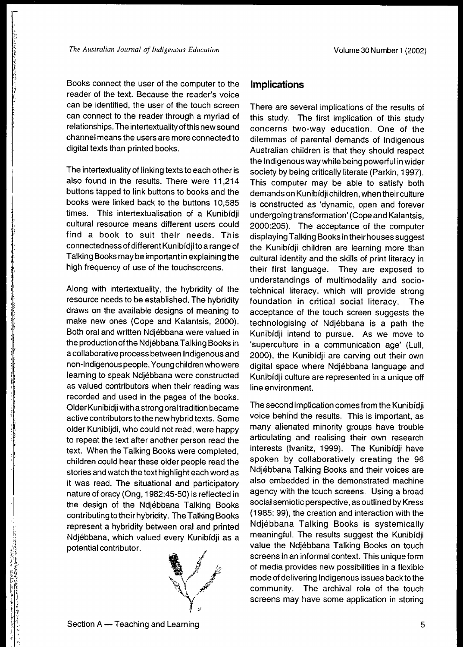:- "

., !

"

I· ! I' I' ·. j.

; I ·

, , .; 1 ,  $\mathbb F$ ·, :j · "

Books connect the user of the computer to the reader of the text. Because the reader's voice can be identified, the user of the touch screen can connect to the reader through a myriad of relationships. The intertextuality of this new sound channel means the users are more connected to digital texts than printed books.

The intertextuality of linking texts to each other is also found in the results. There were 11,214 buttons tapped to link buttons to books and the books were linked back to the buttons 10,585 times. This intertextualisation of a Kunibídji cultural resource means different users could find a book to suit their needs. This connectedness of different Kunibfdji to a range of Talking Booksmay be important in explaining the high frequency of use of the touchscreens.

Along with intertextuality, the hybridity of the resource needs to be established. The hybridity draws on the available designs of meaning to make new ones (Cope and Kalantsis, 2000). Both oral and written Ndjebbana were valued in the productionofthe Ndjebbana Talking Books in a collaborative process between Indigenous and non-Indigenouspeople. Youngchildrenwho were learning to speak Ndjebbana were constructed as valued contributors when their reading was recorded and used in the pages of the books. Older Kunibidji with a strong oral tradition became active contributors to the new hybrid texts. Some older Kunibfjdi, who could not read, were happy to repeat the text after another person read the text. When the Talking Books were completed, children could hear these older people read the stories and watch the text highlight each word as it was read. The situational and participatory nature of oracy (Ong, 1982:45-50) is reflected in the design of the Ndjebbana Talking Books contributing totheir hybridity. The Talking Books represent a hybridity between oral and printed Ndjebbana, which valued every Kunibfdji as a potential contributor.



# **Implications**

There are several implications of the results of this study. The first implication of this study concerns two-way education. One of the dilemmas of parental demands of Indigenous Australian children is that they should respect the Indigenousway while being powerful inwider society by being critically literate (Parkin, 1997). This computer may be able to satisfy both demands on Kunibídji children, when their culture is constructed as 'dynamic, open and forever undergoing transformation' (Cope and Kalantsis, 2000:205). The acceptance of the computer displaying Talking Books intheir houses suggest the Kunibfdji children are learning more than cultural identity and the skills of print literacy in their first language. They are exposed to understandings of multimodality and sociotechnical literacy, which will provide strong foundation in critical social literacy. The acceptance of the touch screen suggests the technologising of Ndjebbana is a path the Kunibfdji intend to pursue. As we move to 'superculture in a communication age' (Lull, 2000), the Kunibfdji are carving out their own digital space where Ndjébbana language and Kunibfdji culture are represented in a unique off line environment.

The second implication comes from the Kunibfdji voice behind the results, This is important, as many alienated minority groups have trouble articulating and realising their own research interests (Ivanitz, 1999). The Kunibídji have spoken by collaboratively creating the 96 Ndjebbana Talking Books and their voices are also embedded in the demonstrated machine agency with the touch screens. Using a broad social semiotic perspective, as outlined by Kress (1985: 99), the creation and interaction with the Ndjebbana Talking Books is systemically meaningful. The results suggest the Kunibfdji value the Ndjébbana Talking Books on touch screens in an informal context. This unique form of media provides new possibilities in a flexible mode of delivering Indigenous issues back tothe community. The archival role of the touch screens may have some application in storing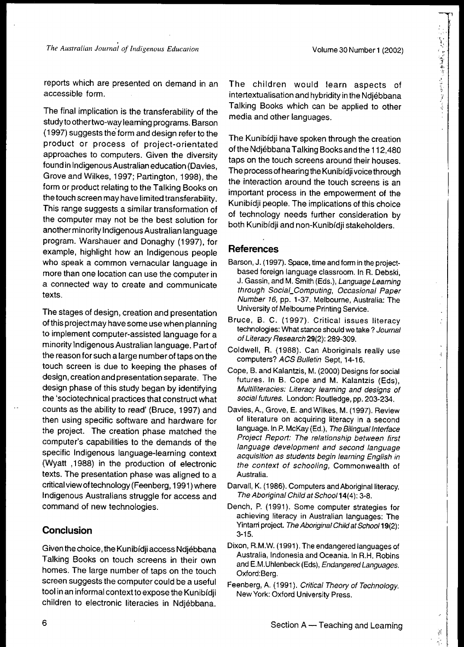,

 $-11$ 

; t" t" f" d" i"

.' " ,

 $\frac{1}{2}$ 

Ť.

reports which are presented on demand in an accessible form,

The final implication is the transferability of the studyto other two-way learning programs. Barson (1997) suggests the'form and design refer to the product or process of project-orientated approaches to computers. Given the diversity found in Indigenous Australian education (Davies, Grove and Wilkes, 1997; Partington, 1998), the form or product relating to the Talking Books on the touch screen may have limited transferability. This range suggests a similar transformation of the computer may not be the best solution for anotherminority Indigenous Australian language program. Warshauer and Donaghy (1997), for example, highlight how an Indigenous people who speak a common vernacular language in more than one location can use the computer in a connected way to create and communicate texts.

The stages of design, creation and presentation ofthis project may have some use when planning to implement computer-assisted language for a minority Indigenous Australian language. Part of the reason for such a large numberof taps on the touch screen is due to keeping the phases of design, creation and presentation separate. The design phase of this study began by identifying the 'sociotechnical practices that construct what counts as the ability to read' (Bruce, 1997) and then using specific software and hardware for the project. The creation phase matched the computer's capabilities to the demands of the specific Indigenous language-learning context (Wyatt ,1988) in the production of electronic texts. The presentation phase was aligned to a criticalviewoftechnology (Feenberg, 1991)where Indigenous Australians struggle for access and command of new technologies.

### **Conclusion**

Given the choice, the Kunibídji access Ndjébbana Talking Books on touch screens in their own homes. The large number of taps on the touch screen suggests the computer could be a useful tool inan informal context to expose the Kunibfdji children to electronic literacies in Ndjebbana.

The children would learn aspects of intertextualisation and hybridity inthe Ndjebbana Talking Books which can be applied to other media and other languages.

The Kunibfdji have spoken through the creation of the Ndjebbana Talking Books andthe 112,480 taps on the touch screens around their houses. The process of hearing the Kunibidii voice through the interaction around the touch screens is an important process in the empowerment of the Kunibfdji people. The implications of this choice of technology needs further consideration by both Kunibfdji and non-Kunibfdji stakeholders.

#### **References**

- Barson, J. (1997). Space, time and form in the projectbased foreign language classroom. In R. Debski, J. Gassin, and M. Smith (Eds.), Language Leaming through Social\_Computing, Occasional Paper Number 16, pp. 1-37. Melbourne, Australia: The University of Melbourne Printing Service,
- Bruce, B. C. (1997). Critical issues literacy technologies: What stance should we take? Journal ofLiteracy Research 29(2): 289-309.
- Coldwell, R. (1988). Can Aboriginals really use computers? ACS Bulletin Sept, 14-16.
- Cope, B. and Kalantzis, M. (2000) Designs for social futures. In B. Cope and M. Kalantzis (Eds), Multiliteracies: Literacy learning and designs of social futures. London: Routledge, pp. 203-234.
- Davies, A., Grove, E. and Wilkes, M. (1997). Review of literature on acquiring literacy in a second language. In P. McKay (Ed.), The Bilingual Interface Project Report: The relationship between first language development and second language acquisition as students begin learning English in the context of schooling, Commonwealth of Australia.
- Darvall, K. (1986). Computers and Aboriginal literacy. The Aboriginal Child at Schoo/14(4): 3-8.
- Dench, P. (1991). Some computer strategies for achieving literacy in Australian languages: The Yintarri project. The Aboriginal Child at School 19(2): 3-15.
- Dixon, R.M.W. (1991). The endangered languages of Australia, Indonesia and Oceania. In R.H. Robins and E.M.Uhlenbeck (Eds), Endangered Languages. Oxford:Berg.
- Feenberg, A. (1991). Critical Theory of Technology. New York: Oxford University Press.